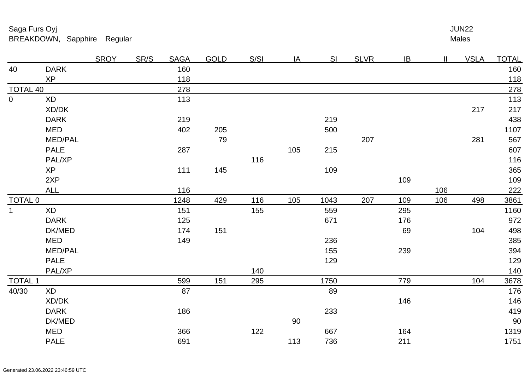Males <u>r and the set of the set of the set of the set of the set of the set of the set of the set of the set of the set of the set of the set of the set of the set of the set of the set of the set of the set of the set of the se</u>

|                |                 | <b>SROY</b> | <b>SR/S</b> | <b>SAGA</b> | <b>GOLD</b> | S/SI | IA  | <b>SI</b> | <b>SLVR</b> | IB  | $\mathbf{II}$ | <b>VSLA</b> | <u>TOTAL</u> |
|----------------|-----------------|-------------|-------------|-------------|-------------|------|-----|-----------|-------------|-----|---------------|-------------|--------------|
| 40             | <b>DARK</b>     |             |             | 160         |             |      |     |           |             |     |               |             | 160          |
|                | <b>XP</b>       |             |             | 118         |             |      |     |           |             |     |               |             | <u>118</u>   |
|                | <b>TOTAL 40</b> |             |             | 278         |             |      |     |           |             |     |               |             | 278          |
| $\overline{0}$ | <b>XD</b>       |             |             | 113         |             |      |     |           |             |     |               |             | 113          |
|                | XD/DK           |             |             |             |             |      |     |           |             |     |               | 217         | 217          |
|                | <b>DARK</b>     |             |             | 219         |             |      |     | 219       |             |     |               |             | 438          |
|                | <b>MED</b>      |             |             | 402         | 205         |      |     | 500       |             |     |               |             | 1107         |
|                | MED/PAL         |             |             |             | 79          |      |     |           | 207         |     |               | 281         | 567          |
|                | <b>PALE</b>     |             |             | 287         |             |      | 105 | 215       |             |     |               |             | 607          |
|                | PAL/XP          |             |             |             |             | 116  |     |           |             |     |               |             | 116          |
|                | <b>XP</b>       |             |             | 111         | 145         |      |     | 109       |             |     |               |             | 365          |
|                | 2XP             |             |             |             |             |      |     |           |             | 109 |               |             | 109          |
|                | <b>ALL</b>      |             |             | 116         |             |      |     |           |             |     | 106           |             | 222          |
| <b>TOTAL 0</b> |                 |             |             | 1248        | 429         | 116  | 105 | 1043      | 207         | 109 | 106           | 498         | 3861         |
| $\mathbf{1}$   | <b>XD</b>       |             |             | 151         |             | 155  |     | 559       |             | 295 |               |             | 1160         |
|                | <b>DARK</b>     |             |             | 125         |             |      |     | 671       |             | 176 |               |             | 972          |
|                | DK/MED          |             |             | 174         | 151         |      |     |           |             | 69  |               | 104         | 498          |
|                | <b>MED</b>      |             |             | 149         |             |      |     | 236       |             |     |               |             | 385          |
|                | <b>MED/PAL</b>  |             |             |             |             |      |     | 155       |             | 239 |               |             | 394          |
|                | <b>PALE</b>     |             |             |             |             |      |     | 129       |             |     |               |             | 129          |
|                | PAL/XP          |             |             |             |             | 140  |     |           |             |     |               |             | 140          |
| <b>TOTAL 1</b> |                 |             |             | 599         | 151         | 295  |     | 1750      |             | 779 |               | 104         | 3678         |
| 40/30          | <b>XD</b>       |             |             | 87          |             |      |     | 89        |             |     |               |             | 176          |
|                | XD/DK           |             |             |             |             |      |     |           |             | 146 |               |             | 146          |
|                | <b>DARK</b>     |             |             | 186         |             |      |     | 233       |             |     |               |             | 419          |
|                | DK/MED          |             |             |             |             |      | 90  |           |             |     |               |             | 90           |
|                | <b>MED</b>      |             |             | 366         |             | 122  |     | 667       |             | 164 |               |             | 1319         |
|                | PALE            |             |             | 691         |             |      | 113 | 736       |             | 211 |               |             | 1751         |
|                |                 |             |             |             |             |      |     |           |             |     |               |             |              |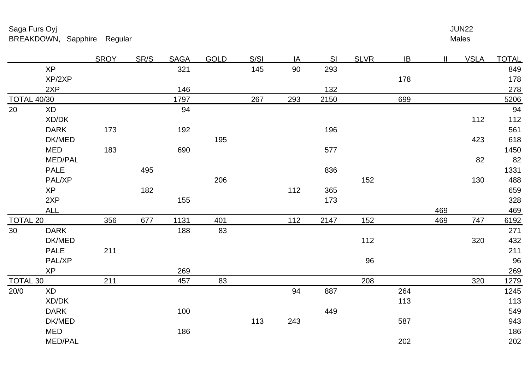|                    |                | <b>SROY</b> | SR/S | <b>SAGA</b> | <b>GOLD</b> | S/SI | IA  | SI   | <b>SLVR</b> | IB  | $\mathbf{II}$ | <b>VSLA</b> | <b>TOTAL</b> |
|--------------------|----------------|-------------|------|-------------|-------------|------|-----|------|-------------|-----|---------------|-------------|--------------|
|                    | <b>XP</b>      |             |      | 321         |             | 145  | 90  | 293  |             |     |               |             | 849          |
|                    | XP/2XP         |             |      |             |             |      |     |      |             | 178 |               |             | 178          |
|                    | 2XP            |             |      | 146         |             |      |     | 132  |             |     |               |             | 278          |
| <b>TOTAL 40/30</b> |                |             |      | 1797        |             | 267  | 293 | 2150 |             | 699 |               |             | 5206         |
| 20                 | <b>XD</b>      |             |      | 94          |             |      |     |      |             |     |               |             | 94           |
|                    | XD/DK          |             |      |             |             |      |     |      |             |     |               | 112         | 112          |
|                    | <b>DARK</b>    | 173         |      | 192         |             |      |     | 196  |             |     |               |             | 561          |
|                    | DK/MED         |             |      |             | 195         |      |     |      |             |     |               | 423         | 618          |
|                    | <b>MED</b>     | 183         |      | 690         |             |      |     | 577  |             |     |               |             | 1450         |
|                    | <b>MED/PAL</b> |             |      |             |             |      |     |      |             |     |               | 82          | 82           |
|                    | <b>PALE</b>    |             | 495  |             |             |      |     | 836  |             |     |               |             | 1331         |
|                    | PAL/XP         |             |      |             | 206         |      |     |      | 152         |     |               | 130         | 488          |
|                    | <b>XP</b>      |             | 182  |             |             |      | 112 | 365  |             |     |               |             | 659          |
|                    | 2XP            |             |      | 155         |             |      |     | 173  |             |     |               |             | 328          |
|                    | <b>ALL</b>     |             |      |             |             |      |     |      |             |     | 469           |             | 469          |
| <b>TOTAL 20</b>    |                | 356         | 677  | 1131        | 401         |      | 112 | 2147 | 152         |     | 469           | 747         | 6192         |
| 30                 | <b>DARK</b>    |             |      | 188         | 83          |      |     |      |             |     |               |             | 271          |
|                    | DK/MED         |             |      |             |             |      |     |      | 112         |     |               | 320         | 432          |
|                    | <b>PALE</b>    | 211         |      |             |             |      |     |      |             |     |               |             | 211          |
|                    | PAL/XP         |             |      |             |             |      |     |      | 96          |     |               |             | 96           |
|                    | <b>XP</b>      |             |      | 269         |             |      |     |      |             |     |               |             | 269          |
| <b>TOTAL 30</b>    |                | 211         |      | 457         | 83          |      |     |      | 208         |     |               | 320         | 1279         |
| 20/0               | <b>XD</b>      |             |      |             |             |      | 94  | 887  |             | 264 |               |             | 1245         |
|                    | XD/DK          |             |      |             |             |      |     |      |             | 113 |               |             | 113          |
|                    | <b>DARK</b>    |             |      | 100         |             |      |     | 449  |             |     |               |             | 549          |
|                    | DK/MED         |             |      |             |             | 113  | 243 |      |             | 587 |               |             | 943          |
|                    | <b>MED</b>     |             |      | 186         |             |      |     |      |             |     |               |             | 186          |
|                    | MED/PAL        |             |      |             |             |      |     |      |             | 202 |               |             | 202          |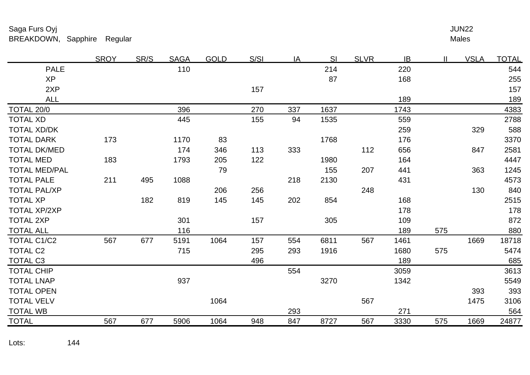|                      | <b>SROY</b> | SR/S | <b>SAGA</b> | <b>GOLD</b> | S/SI | IA  | SI   | <b>SLVR</b> | <b>IB</b> | $\mathbf{I}$ | <b>VSLA</b> | <b>TOTAL</b> |
|----------------------|-------------|------|-------------|-------------|------|-----|------|-------------|-----------|--------------|-------------|--------------|
| <b>PALE</b>          |             |      | 110         |             |      |     | 214  |             | 220       |              |             | 544          |
| <b>XP</b>            |             |      |             |             |      |     | 87   |             | 168       |              |             | 255          |
| 2XP                  |             |      |             |             | 157  |     |      |             |           |              |             | 157          |
| <b>ALL</b>           |             |      |             |             |      |     |      |             | 189       |              |             | 189          |
| TOTAL 20/0           |             |      | 396         |             | 270  | 337 | 1637 |             | 1743      |              |             | 4383         |
| <b>TOTAL XD</b>      |             |      | 445         |             | 155  | 94  | 1535 |             | 559       |              |             | 2788         |
| <b>TOTAL XD/DK</b>   |             |      |             |             |      |     |      |             | 259       |              | 329         | 588          |
| <b>TOTAL DARK</b>    | 173         |      | 1170        | 83          |      |     | 1768 |             | 176       |              |             | 3370         |
| <b>TOTAL DK/MED</b>  |             |      | 174         | 346         | 113  | 333 |      | 112         | 656       |              | 847         | 2581         |
| <b>TOTAL MED</b>     | 183         |      | 1793        | 205         | 122  |     | 1980 |             | 164       |              |             | 4447         |
| <b>TOTAL MED/PAL</b> |             |      |             | 79          |      |     | 155  | 207         | 441       |              | 363         | 1245         |
| <b>TOTAL PALE</b>    | 211         | 495  | 1088        |             |      | 218 | 2130 |             | 431       |              |             | 4573         |
| <b>TOTAL PAL/XP</b>  |             |      |             | 206         | 256  |     |      | 248         |           |              | 130         | 840          |
| <b>TOTAL XP</b>      |             | 182  | 819         | 145         | 145  | 202 | 854  |             | 168       |              |             | 2515         |
| <b>TOTAL XP/2XP</b>  |             |      |             |             |      |     |      |             | 178       |              |             | 178          |
| <b>TOTAL 2XP</b>     |             |      | 301         |             | 157  |     | 305  |             | 109       |              |             | 872          |
| <b>TOTAL ALL</b>     |             |      | 116         |             |      |     |      |             | 189       | 575          |             | 880          |
| <b>TOTAL C1/C2</b>   | 567         | 677  | 5191        | 1064        | 157  | 554 | 6811 | 567         | 1461      |              | 1669        | 18718        |
| <b>TOTAL C2</b>      |             |      | 715         |             | 295  | 293 | 1916 |             | 1680      | 575          |             | 5474         |
| <b>TOTAL C3</b>      |             |      |             |             | 496  |     |      |             | 189       |              |             | 685          |
| <b>TOTAL CHIP</b>    |             |      |             |             |      | 554 |      |             | 3059      |              |             | 3613         |
| <b>TOTAL LNAP</b>    |             |      | 937         |             |      |     | 3270 |             | 1342      |              |             | 5549         |
| <b>TOTAL OPEN</b>    |             |      |             |             |      |     |      |             |           |              | 393         | 393          |
| <b>TOTAL VELV</b>    |             |      |             | 1064        |      |     |      | 567         |           |              | 1475        | 3106         |
| <b>TOTAL WB</b>      |             |      |             |             |      | 293 |      |             | 271       |              |             | 564          |
| <b>TOTAL</b>         | 567         | 677  | 5906        | 1064        | 948  | 847 | 8727 | 567         | 3330      | 575          | 1669        | 24877        |
|                      |             |      |             |             |      |     |      |             |           |              |             |              |

Lots:144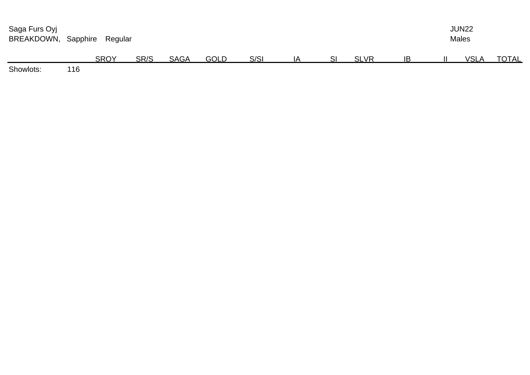| Saga Furs Oyj<br>BREAKDOWN, Sapphire |     | Regular     | <b>JUN22</b><br><b>Males</b> |             |             |      |    |             |           |  |             |              |
|--------------------------------------|-----|-------------|------------------------------|-------------|-------------|------|----|-------------|-----------|--|-------------|--------------|
|                                      |     | <b>SROY</b> | SR/S                         | <b>SAGA</b> | <b>GOLD</b> | S/SI | IA | <b>SLVR</b> | <b>IB</b> |  | <b>VSLA</b> | <b>TOTAL</b> |
| Choulet                              | 44C |             |                              |             |             |      |    |             |           |  |             |              |

Showlots:116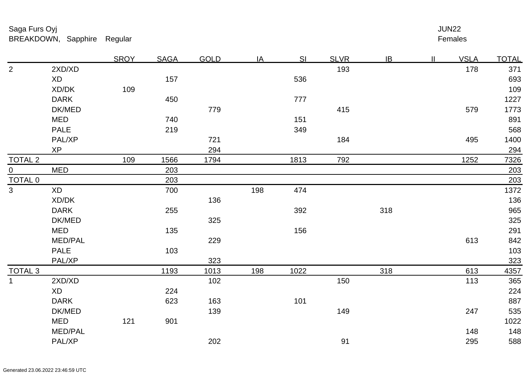|                |                | <b>SROY</b> | <b>SAGA</b> | <b>GOLD</b> | IA  | SI   | <b>SLVR</b> | IB  | $\mathbf{II}$ | <b>VSLA</b> | <b>TOTAL</b> |
|----------------|----------------|-------------|-------------|-------------|-----|------|-------------|-----|---------------|-------------|--------------|
| $\overline{2}$ | 2XD/XD         |             |             |             |     |      | 193         |     |               | 178         | 371          |
|                | <b>XD</b>      |             | 157         |             |     | 536  |             |     |               |             | 693          |
|                | XD/DK          | 109         |             |             |     |      |             |     |               |             | 109          |
|                | <b>DARK</b>    |             | 450         |             |     | 777  |             |     |               |             | 1227         |
|                | DK/MED         |             |             | 779         |     |      | 415         |     |               | 579         | 1773         |
|                | <b>MED</b>     |             | 740         |             |     | 151  |             |     |               |             | 891          |
|                | <b>PALE</b>    |             | 219         |             |     | 349  |             |     |               |             | 568          |
|                | PAL/XP         |             |             | 721         |     |      | 184         |     |               | 495         | 1400         |
|                | <b>XP</b>      |             |             | 294         |     |      |             |     |               |             | 294          |
| <b>TOTAL 2</b> |                | 109         | 1566        | 1794        |     | 1813 | 792         |     |               | 1252        | 7326         |
| $\overline{0}$ | <b>MED</b>     |             | 203         |             |     |      |             |     |               |             | 203          |
| <b>TOTAL 0</b> |                |             | 203         |             |     |      |             |     |               |             | 203          |
| $\overline{3}$ | <b>XD</b>      |             | 700         |             | 198 | 474  |             |     |               |             | 1372         |
|                | XD/DK          |             |             | 136         |     |      |             |     |               |             | 136          |
|                | <b>DARK</b>    |             | 255         |             |     | 392  |             | 318 |               |             | 965          |
|                | DK/MED         |             |             | 325         |     |      |             |     |               |             | 325          |
|                | <b>MED</b>     |             | 135         |             |     | 156  |             |     |               |             | 291          |
|                | MED/PAL        |             |             | 229         |     |      |             |     |               | 613         | 842          |
|                | <b>PALE</b>    |             | 103         |             |     |      |             |     |               |             | 103          |
|                | PAL/XP         |             |             | 323         |     |      |             |     |               |             | 323          |
| <b>TOTAL 3</b> |                |             | 1193        | 1013        | 198 | 1022 |             | 318 |               | 613         | 4357         |
| $\mathbf{1}$   | 2XD/XD         |             |             | 102         |     |      | 150         |     |               | 113         | 365          |
|                | <b>XD</b>      |             | 224         |             |     |      |             |     |               |             | 224          |
|                | <b>DARK</b>    |             | 623         | 163         |     | 101  |             |     |               |             | 887          |
|                | DK/MED         |             |             | 139         |     |      | 149         |     |               | 247         | 535          |
|                | <b>MED</b>     | 121         | 901         |             |     |      |             |     |               |             | 1022         |
|                | <b>MED/PAL</b> |             |             |             |     |      |             |     |               | 148         | 148          |
|                | PAL/XP         |             |             | 202         |     |      | 91          |     |               | 295         | 588          |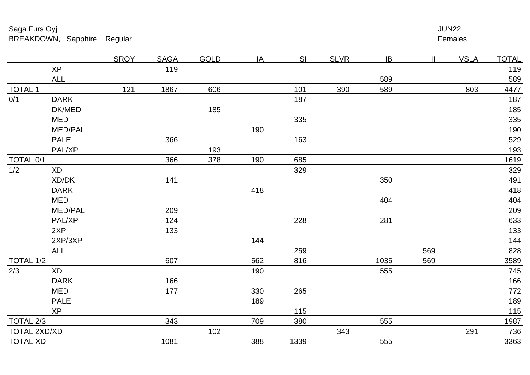Females r and the state of the state of the state of the state of the state of the state of the Females

|                 |                        | <b>SROY</b> | <b>SAGA</b> | <b>GOLD</b> | IA  | SI   | <b>SLVR</b> | IB   | $\mathbf{I}$ | <b>VSLA</b> | <b>TOTAL</b> |
|-----------------|------------------------|-------------|-------------|-------------|-----|------|-------------|------|--------------|-------------|--------------|
|                 | <b>XP</b>              |             | 119         |             |     |      |             |      |              |             | 119          |
|                 | <b>ALL</b>             |             |             |             |     |      |             | 589  |              |             | 589          |
| <b>TOTAL 1</b>  |                        | 121         | 1867        | 606         |     | 101  | 390         | 589  |              | 803         | 4477         |
| 0/1             | <b>DARK</b>            |             |             |             |     | 187  |             |      |              |             | 187          |
|                 | DK/MED                 |             |             | 185         |     |      |             |      |              |             | 185          |
|                 | <b>MED</b>             |             |             |             |     | 335  |             |      |              |             | 335          |
|                 | <b>MED/PAL</b>         |             |             |             | 190 |      |             |      |              |             | 190          |
|                 | <b>PALE</b>            |             | 366         |             |     | 163  |             |      |              |             | 529          |
|                 | PAL/XP                 |             |             | 193         |     |      |             |      |              |             | 193          |
| TOTAL 0/1       |                        |             | 366         | 378         | 190 | 685  |             |      |              |             | 1619         |
| 1/2             | <b>XD</b>              |             |             |             |     | 329  |             |      |              |             | 329          |
|                 | XD/DK                  |             | 141         |             |     |      |             | 350  |              |             | 491          |
|                 | <b>DARK</b>            |             |             |             | 418 |      |             |      |              |             | 418          |
|                 | <b>MED</b>             |             |             |             |     |      |             | 404  |              |             | 404          |
|                 | <b>MED/PAL</b>         |             | 209         |             |     |      |             |      |              |             | 209          |
|                 | PAL/XP                 |             | 124         |             |     | 228  |             | 281  |              |             | 633          |
|                 | 2XP                    |             | 133         |             |     |      |             |      |              |             | 133          |
|                 | 2XP/3XP                |             |             |             | 144 |      |             |      |              |             | 144          |
|                 | <b>ALL</b>             |             |             |             |     | 259  |             |      | 569          |             | 828          |
| TOTAL 1/2       |                        |             | 607         |             | 562 | 816  |             | 1035 | 569          |             | 3589         |
| 2/3             | $\mathsf{X}\mathsf{D}$ |             |             |             | 190 |      |             | 555  |              |             | 745          |
|                 | <b>DARK</b>            |             | 166         |             |     |      |             |      |              |             | 166          |
|                 | <b>MED</b>             |             | 177         |             | 330 | 265  |             |      |              |             | 772          |
|                 | <b>PALE</b>            |             |             |             | 189 |      |             |      |              |             | 189          |
|                 | <b>XP</b>              |             |             |             |     | 115  |             |      |              |             | 115          |
| TOTAL 2/3       |                        |             | 343         |             | 709 | 380  |             | 555  |              |             | 1987         |
|                 | TOTAL 2XD/XD           |             |             | 102         |     |      | 343         |      |              | 291         | 736          |
| <b>TOTAL XD</b> |                        |             | 1081        |             | 388 | 1339 |             | 555  |              |             | 3363         |